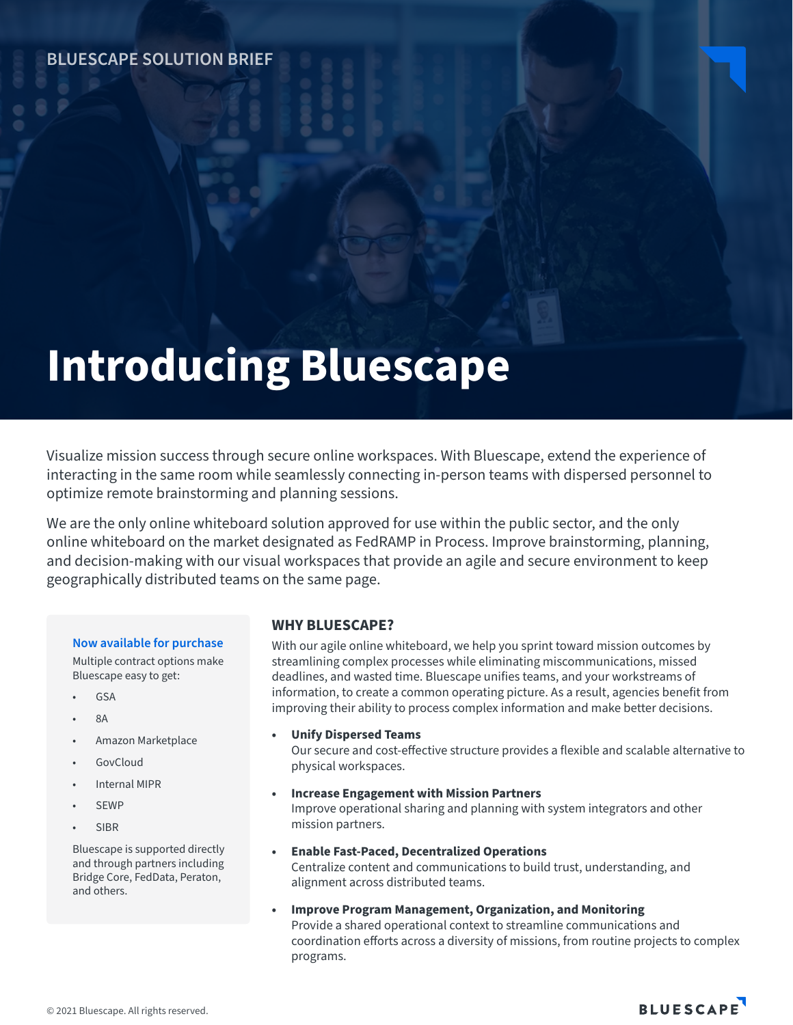# **Introducing Bluescape**

Visualize mission success through secure online workspaces. With Bluescape, extend the experience of interacting in the same room while seamlessly connecting in-person teams with dispersed personnel to optimize remote brainstorming and planning sessions.

We are the only online whiteboard solution approved for use within the public sector, and the only online whiteboard on the market designated as FedRAMP in Process. Improve brainstorming, planning, and decision-making with our visual workspaces that provide an agile and secure environment to keep geographically distributed teams on the same page.

#### **Now available for purchase**

Multiple contract options make Bluescape easy to get:

- GSA
- 8A
- Amazon Marketplace
- GovCloud
- Internal MIPR
- **SEWP**
- **SIBR**

Bluescape is supported directly and through partners including Bridge Core, FedData, Peraton, and others.

# **WHY BLUESCAPE?**

With our agile online whiteboard, we help you sprint toward mission outcomes by streamlining complex processes while eliminating miscommunications, missed deadlines, and wasted time. Bluescape unifies teams, and your workstreams of information, to create a common operating picture. As a result, agencies benefit from improving their ability to process complex information and make better decisions.

#### **• Unify Dispersed Teams**

Our secure and cost-effective structure provides a flexible and scalable alternative to physical workspaces.

- **• Increase Engagement with Mission Partners**  Improve operational sharing and planning with system integrators and other mission partners.
- **• Enable Fast-Paced, Decentralized Operations** Centralize content and communications to build trust, understanding, and alignment across distributed teams.
- **• Improve Program Management, Organization, and Monitoring** Provide a shared operational context to streamline communications and coordination efforts across a diversity of missions, from routine projects to complex programs.